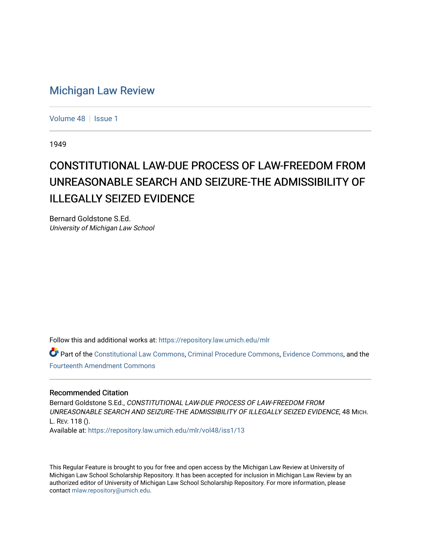## [Michigan Law Review](https://repository.law.umich.edu/mlr)

[Volume 48](https://repository.law.umich.edu/mlr/vol48) | [Issue 1](https://repository.law.umich.edu/mlr/vol48/iss1)

1949

## CONSTITUTIONAL LAW-DUE PROCESS OF LAW-FREEDOM FROM UNREASONABLE SEARCH AND SEIZURE-THE ADMISSIBILITY OF ILLEGALLY SEIZED EVIDENCE

Bernard Goldstone S.Ed. University of Michigan Law School

Follow this and additional works at: [https://repository.law.umich.edu/mlr](https://repository.law.umich.edu/mlr?utm_source=repository.law.umich.edu%2Fmlr%2Fvol48%2Fiss1%2F13&utm_medium=PDF&utm_campaign=PDFCoverPages) 

Part of the [Constitutional Law Commons,](http://network.bepress.com/hgg/discipline/589?utm_source=repository.law.umich.edu%2Fmlr%2Fvol48%2Fiss1%2F13&utm_medium=PDF&utm_campaign=PDFCoverPages) [Criminal Procedure Commons,](http://network.bepress.com/hgg/discipline/1073?utm_source=repository.law.umich.edu%2Fmlr%2Fvol48%2Fiss1%2F13&utm_medium=PDF&utm_campaign=PDFCoverPages) [Evidence Commons,](http://network.bepress.com/hgg/discipline/601?utm_source=repository.law.umich.edu%2Fmlr%2Fvol48%2Fiss1%2F13&utm_medium=PDF&utm_campaign=PDFCoverPages) and the [Fourteenth Amendment Commons](http://network.bepress.com/hgg/discipline/1116?utm_source=repository.law.umich.edu%2Fmlr%2Fvol48%2Fiss1%2F13&utm_medium=PDF&utm_campaign=PDFCoverPages)

## Recommended Citation

Bernard Goldstone S.Ed., CONSTITUTIONAL LAW-DUE PROCESS OF LAW-FREEDOM FROM UNREASONABLE SEARCH AND SEIZURE-THE ADMISSIBILITY OF ILLEGALLY SEIZED EVIDENCE, 48 MICH. L. REV. 118 (). Available at: [https://repository.law.umich.edu/mlr/vol48/iss1/13](https://repository.law.umich.edu/mlr/vol48/iss1/13?utm_source=repository.law.umich.edu%2Fmlr%2Fvol48%2Fiss1%2F13&utm_medium=PDF&utm_campaign=PDFCoverPages) 

This Regular Feature is brought to you for free and open access by the Michigan Law Review at University of Michigan Law School Scholarship Repository. It has been accepted for inclusion in Michigan Law Review by an authorized editor of University of Michigan Law School Scholarship Repository. For more information, please contact [mlaw.repository@umich.edu](mailto:mlaw.repository@umich.edu).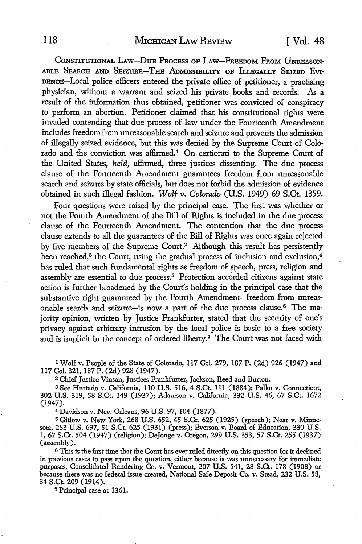CONSTITUTIONAL LAW-DUE PROCESS OF LAW-FREEDOM FROM UNREASON-ABLE SEARCH AND SEIZURE-THE ADMISSIBILITY OF ILLEGALLY SEIZED EVI-DENCE-Local police officers entered the private office of petitioner, a practising physician, without a warrant and seized his private books and records. As a result of the information thus obtained, petitioner was convicted of conspiracy to perform an abortion. Petitioner claimed that his constitutional rights were invaded contending that due process of law under the Fourteenth Amendment includes freedom from unreasonable search and seizure and prevents the admission of illegally seized evidence, but this was denied by the Supreme Court of Colorado and the conviction was affirmed.1 On certiorari to the Supreme Court of the United States, *held,* affirmed, three justices dissenting. The due process clause of the Fourteenth Amendment guarantees freedom from unreasonable search and seizure by state officials, but does not forbid the admission of evidence obtained in such illegal fashion. *Wolf-v. Colorado* (U.S. 1949) 69 S.Ct. 1359.

Four questions were raised by the principal case. The first was whether or not the Fourth Amendment of the Bill of Rights is included in the due process clause of the Fourteenth Amendment. The contention that the due process clause extends to all the guarantees of the Bill of Rights was once again rejected by five members of the Supreme Court.2 Although this result has persistently been reached,<sup>3</sup> the Court, using the gradual process of inclusion and exclusion,<sup>4</sup> has ruled that such fundamental rights as freedom of speech, press, religion and assembly are essential to due process.5 Protection accorded citizens against state action is further broadened by the Court's holding in the principal case that the substantive right guaranteed by the Fourth Amendment-freedom from unreasonable search and seizure-is now a part of the due process clause.6 The majority opinion, written by Justice Frankfurter, stated that the security of one's privacy against arbitrary intrusion by the local police is basic to a free society and is implicit in the concept of ordered liberty.<sup>7</sup> The Court was not faced with

1 Wolf v. People of the State of Colorado, 117 Col. 279, 187 P. (2d) 926 (1947) and 117 Col. 321, 187 P. (2d) 928 (1947).

<sup>2</sup>Chief Justice Vinson, Justices Frankfurter, Jackson, Reed and Burton.

<sup>3</sup>See Hurtado v. California, 110 U.S. 516, 4 S.Ct. 111 (1884); Palko v. Connecticut, 302 U.S. 319, 58 S.Ct. 149 (1937); Adamson v. California, 332 U.S. 46, 67 S.Ct. 1672 (1947).

<sup>4</sup>Davidson v. New Orleans, 96 U.S. 97, 104 (1877).

5 Gitlow v. New York, 268 U.S. 652, 45 S.Ct. 625 (1925) (speech); Near v. Minnesota, 283 U.S. 697, 51 S.Ct. 625 (1931) (press); Everson v. Board of Education, 330 U.S. 1, 67 S.Ct. 504 (1947) (religion); DeJonge v. Oregon, 299 U.S. 353, 57 S.Ct. 255 (1937) (assembly).

<sup>6</sup>This is the first time that the Court has ever ruled directly on this question for it declined in previous cases to pass upon the question, either because is was unnecessary for immediate purposes, Consolidated Rendering Co. v. Vennont, 207 U.S. 541, 28 S.Ct. 178 (1908) or because there was no federal issue created, National Safe Deposit Co. v. Stead, 232 U.S. 58, 34 S.Ct. 209 (1914).

7 Principal case at 1361.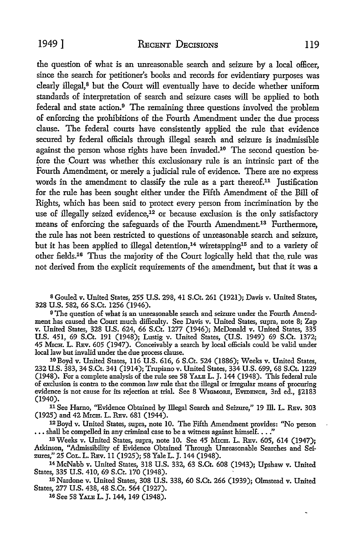the question of what is an unreasonable search and seizure by a local officer, since the search for petitioner's books and records for evidentiary purposes was clearly illegal,<sup>8</sup> but the Court will eventually have to decide whether uniform standards of interpretation of search and seizure cases will be applied *to* both federal and state action.<sup>9</sup> The remaining three questions involved the problem of enforcing the prohibitions of the Fourth Amendment under the due process clause. The federal courts have consistently applied the rule that evidence secured by federal officials through illegal search and seizure is inadmissible against the person whose rights have been invaded.<sup>10</sup> The second question before the Court was whether this exclusionary rule is an intrinsic part of the Fourth Amendment, or merely a judicial rule of evidence. There are no express words in the amendment to classify the rule as a part thereof.<sup>11</sup> Justification for the rule has been sought either under the Fifth Amendment of the Bill of Rights, which has been said to protect every person from incrimination by the use of illegally seized evidence,<sup>12</sup> or because exclusion is the only satisfactory means of enforcing the safeguards of the Fourth Amendment.13 Furthermore, the rule has not been restricted to questions of unreasonable search and seizure, but it has been applied to illegal detention,<sup>14</sup> wiretapping<sup>15</sup> and to a variety of other fields.<sup>16</sup> Thus the majority of the Court logically held that the rule was not derived from the explicit requirements of the amendment, but that it was a

<sup>8</sup> Gouled v. United States, 255 U.S. 298, 41 S.Ct. 261 (1921); Davis v. United States, 328 U.S. 582, 66 S.Ct. 1256 (1946).

9 The question of what is an unreasonable search and seizure under the Fourth Amendment has caused the Court much difficulty. See Davis v. United States, supra, note 8; Zap v. United States, 328 U.S. 624, 66 S.Ct. 1277 (1946); McDonald v. United States, 335 U.S. 451, 69 S.Ct. 191 (1948); Lustig v. United States, (U.S. 1949) 69 S.Ct. 1372; 45 MICH. L. REv. 605 (1947). Conceivably a search by local officials could be valid under local law but invalid under the due process clause.

10 Boyd v. United States, 116 U.S. 616, 6 S.Ct. 524 (1886); Weeks v. United States, 232 U.S. 383, 34 S.Ct. 341 (1914); Trupiano v. United States, 334 U.S. 699, 68 S.Ct. 1229 (1948). For a complete analysis of the rule see 58 YALB L. J. 144 (1948). This federal rule of exclusion is contra to the common law rule that the illegal or irregular means of procuring evidence is not cause for its rejection at trial. See 8 WIGMORE, EVIDENCE, 3rd ed., §2183 (1940).

11 See Hamo, ''Evidence Obtained by illegal Search and Seizure," 19 ill. L. REv. 303 (1925) and 42 MICH. L. REv. 681 (1944).

<sup>12</sup> Boyd v. United States, supra, note 10. The Fifth Amendment provides: "No person  $\dots$  shall be compelled in any criminal case to be a witness against himself.  $\dots$  "

13 Weeks v. United States, supra, note 10. See 45 MrcH. L. REv. 605, 614 (1947); Atkinson, "Admissibility of Evidence Obtained Through Umeasonable Searches and Seizures,'' 25 CcL. L. REv. 11 (1925); 58 Yale L. J. 144 (1948).

14 McNabb v. United States, 318 U.S. 332, 63 S.Ct. 608 (1943); Upshaw v. United States, 335 U.S. 410, 69 S.Ct. 170 (1948).

15 Nardone v. United States, 308 U.S. 338, 60 S.Ct. 266 (1939); Olmstead v. United States, 277 U.S. 438, 48 S.Ct. 564 (1927).

16 See 58 YALB L. J. 144, 149 (1948).

٠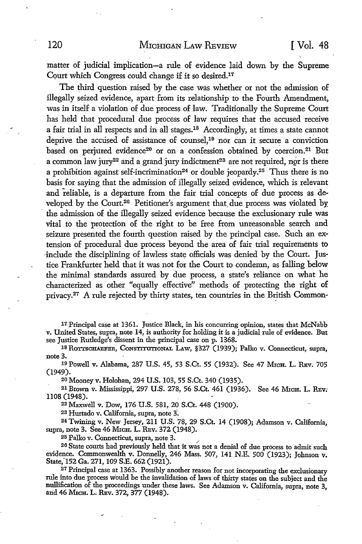matter of judicial implication-a rule of evidence laid down by the Supreme Court which Congress could change if it so desired.17

The third question raised by the case was whether or not the admission of illegally seized evidence, apart from its relationship to the Fourth Amendment, was in itself a violation of due process of law. Traditionally the Supreme Court has held that procedural due process of law requires that the accused receive a fair trial in all respects and in all stages.18 Accordingly, at times a state cannot deprive the accused of assistance of counsel,<sup>19</sup> nor can it secure a conviction based on perjured evidence<sup>20</sup> or on a confession obtained by coercion.<sup>21</sup> But a common law jury<sup>22</sup> and a grand jury indictment<sup>23</sup> are not required, nor is there a prohibition against self-incrimination<sup>24</sup> or double jeopardy.<sup>25</sup> Thus there is no basis for saying that the admission of illegally seized evidence, which is relevant and reliable, is a departure from the fair trial concepts of due process as developed by the Court.<sup>26</sup> Petitioner's argument that due process was violated by · the admission of the illegally seized evidence because the exclusionary rule was vital to the protection of the right to be free from unreasonable search and seizure presented the fourth question raised by the principal case. Such an extension of procedural due process beyond the area of fair trial requirements to include the disciplining of lawless state officials was denied by the Court. Justice Frankfurter held that it was not for the Court to condemn, as falling below the minimal standards assured by due process, a state's reliance on what he characterized as other "equally effective" methods of protecting the right of privacy.<sup>27</sup> A rule rejected by thirty states, ten countries in the British Common-

17 Principal case at 1-361. Justice Black, in his concurring opinion, states that McNabb v. United States, supra, note 14, is authority for holding it is a judicial rule of evidence. But see Justice Rutledge's dissent in the principal case on p. 1368.

18 ROTTSCHAEFER, CONSTITUTIONAL LAW, §327 (1939); Palko v. Connecticut, supra, note 3.

19 Powell v. Alabama, 287 U.S. 45, 53 S.Ct. 55 (1932). See 47 MxcH. L. REv. 705 (1949).

20 Mooney v. Holohan, 294 U.S. 103, 55 S.Ct. 340 (1935).

21 Brown v. Mississippi, 297 U.S. 278, 56 S.Ct. 461 (1936). See 46 MicH. L. REv; 1108 (1948).

<sup>22</sup>Maxwell v. Dow, 176 U.S. 581, 20 S.Ct. 448 (1900).

23 Hurtado v. California, supra, note 3-.

<sup>24</sup>Twining v. New Jersey, 211 U.S. 78, 29 S.Ct. 14 (1908); Adamson v. California, supra, note 3. See 46 MICH. L. REv. 372 (1948).

25 Palko v. Connecticut, supra, note 3.

26 State courts had previously held that it was not a denial of due process to admit such evidence. Commonwealth v. Donnelly, 246 Mass. 507, 141 N.E. 500 (1923); Johnson v. State;152 Ga. 271, 109 S.E. 662 (1921).

\_ 27 Principal case at 1363. Possibly another reason for not incorporating the exclusionary rule into due process would be the invalidation of laws of thirty states on the subject and the nullification of the proceedings under these laws. See Adamson v. California, supra, note 3, arid 46 MICH. L. REv. 372, 377 (1948).